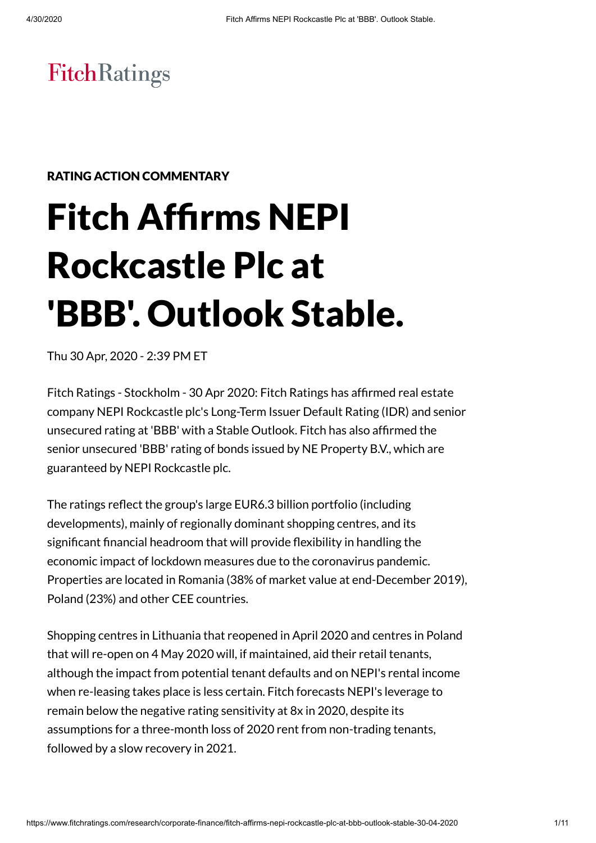# **FitchRatings**

#### RATING ACTION COMMENTARY

# Fitch Affirms NEPI Rockcastle Plc at 'BBB' . Outlook Stable.

Thu 30 Apr, 2020 - 2:39 PM ET

Fitch Ratings - Stockholm - 30 Apr 2020: Fitch Ratings has affirmed real estate company NEPI Rockcastle plc's Long-Term Issuer Default Rating (IDR) and senior unsecured rating at 'BBB' with a Stable Outlook. Fitch has also affirmed the senior unsecured 'BBB' rating of bonds issued by NE Property B.V., which are guaranteed by NEPI Rockcastle plc.

The ratings reflect the group's large EUR6.3 billion portfolio (including developments), mainly of regionally dominant shopping centres, and its significant financial headroom that will provide flexibility in handling the economic impact of lockdown measures due to the coronavirus pandemic. Properties are located in Romania (38% of market value at end-December 2019), Poland (23%) and other CEE countries.

Shopping centres in Lithuania that reopened in April 2020 and centres in Poland that will re-open on 4 May 2020 will, if maintained, aid their retail tenants, although the impact from potential tenant defaults and on NEPI's rental income when re-leasing takes place is less certain. Fitch forecasts NEPI's leverage to remain below the negative rating sensitivity at 8x in 2020, despite its assumptions for a three-month loss of 2020 rent from non-trading tenants, followed by a slow recovery in 2021.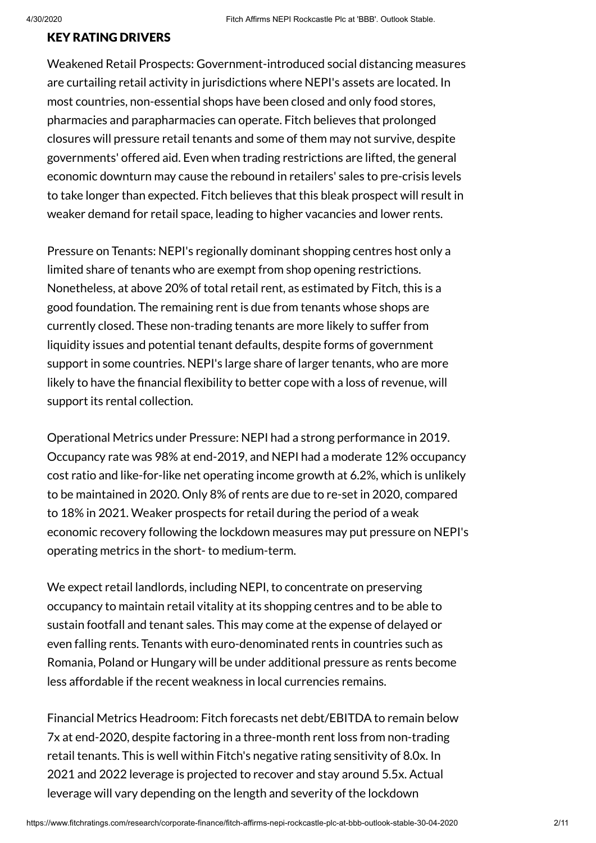# KEY RATING DRIVERS

Weakened Retail Prospects: Government-introduced social distancing measures are curtailing retail activity in jurisdictions where NEPI's assets are located. In most countries, non-essential shops have been closed and only food stores, pharmacies and parapharmacies can operate. Fitch believes that prolonged closures will pressure retail tenants and some of them may not survive, despite governments' offered aid. Even when trading restrictions are lifted, the general economic downturn may cause the rebound in retailers' sales to pre-crisis levels to take longer than expected. Fitch believes that this bleak prospect will result in weaker demand for retail space, leading to higher vacancies and lower rents.

Pressure on Tenants: NEPI's regionally dominant shopping centres host only a limited share of tenants who are exempt from shop opening restrictions. Nonetheless, at above 20% of total retail rent, as estimated by Fitch, this is a good foundation. The remaining rent is due from tenants whose shops are currently closed. These non-trading tenants are more likely to suffer from liquidity issues and potential tenant defaults, despite forms of government support in some countries. NEPI's large share of larger tenants, who are more likely to have the financial flexibility to better cope with a loss of revenue, will support its rental collection.

Operational Metrics under Pressure: NEPI had a strong performance in 2019. Occupancy rate was 98% at end-2019, and NEPI had a moderate 12% occupancy cost ratio and like-for-like net operating income growth at 6.2%, which is unlikely to be maintained in 2020. Only 8% of rents are due to re-set in 2020, compared to 18% in 2021. Weaker prospects for retail during the period of a weak economic recovery following the lockdown measures may put pressure on NEPI's operating metrics in the short- to medium-term.

We expect retail landlords, including NEPI, to concentrate on preserving occupancy to maintain retail vitality at its shopping centres and to be able to sustain footfall and tenant sales. This may come at the expense of delayed or even falling rents. Tenants with euro-denominated rents in countries such as Romania, Poland or Hungary will be under additional pressure as rents become less affordable if the recent weakness in local currencies remains.

Financial Metrics Headroom: Fitch forecasts net debt/EBITDA to remain below 7x at end-2020, despite factoring in a three-month rent loss from non-trading retail tenants. This is well within Fitch's negative rating sensitivity of 8.0x. In 2021 and 2022 leverage is projected to recover and stay around 5.5x. Actual leverage will vary depending on the length and severity of the lockdown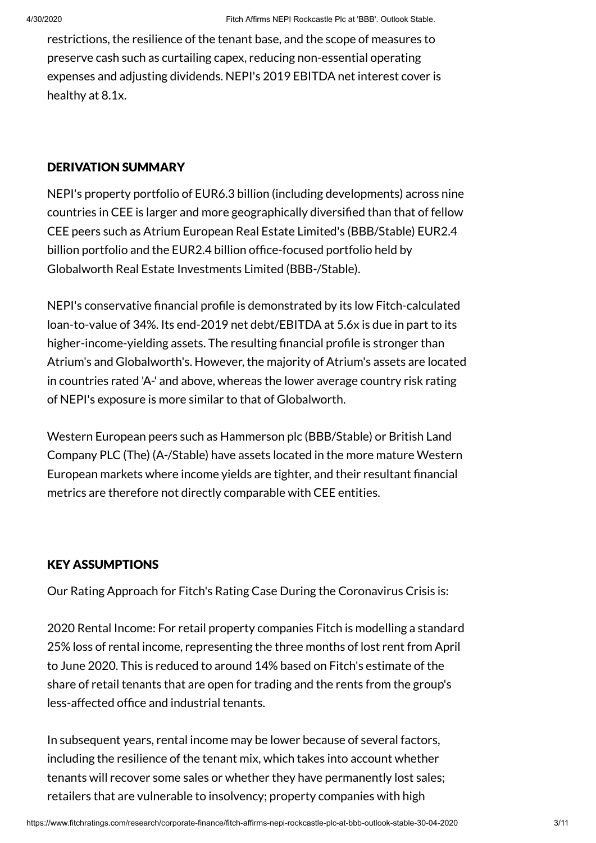restrictions, the resilience of the tenant base, and the scope of measures to preserve cash such as curtailing capex, reducing non-essential operating expenses and adjusting dividends. NEPI's 2019 EBITDA net interest cover is healthy at 8.1x.

# DERIVATION SUMMARY

NEPI's property portfolio of EUR6.3 billion (including developments) across nine countries in CEE is larger and more geographically diversified than that of fellow CEE peers such as Atrium European Real Estate Limited's (BBB/Stable) EUR2.4 billion portfolio and the EUR2.4 billion office-focused portfolio held by Globalworth Real Estate Investments Limited (BBB-/Stable).

NEPI's conservative financial profile is demonstrated by its low Fitch-calculated loan-to-value of 34%. Its end-2019 net debt/EBITDA at 5.6x is due in part to its higher-income-yielding assets. The resulting financial profile is stronger than Atrium's and Globalworth's. However, the majority of Atrium's assets are located in countries rated 'A-' and above, whereas the lower average country risk rating of NEPI's exposure is more similar to that of Globalworth.

Western European peers such as Hammerson plc (BBB/Stable) or British Land Company PLC (The) (A-/Stable) have assets located in the more mature Western European markets where income yields are tighter, and their resultant financial metrics are therefore not directly comparable with CEE entities.

# KEY ASSUMPTIONS

Our Rating Approach for Fitch's Rating Case During the Coronavirus Crisis is:

2020 Rental Income: For retail property companies Fitch is modelling a standard 25% loss of rental income, representing the three months of lost rent from April to June 2020. This is reduced to around 14% based on Fitch's estimate of the share of retail tenants that are open for trading and the rents from the group's less-affected office and industrial tenants.

In subsequent years, rental income may be lower because of several factors, including the resilience of the tenant mix, which takes into account whether tenants will recover some sales or whether they have permanently lost sales; retailers that are vulnerable to insolvency; property companies with high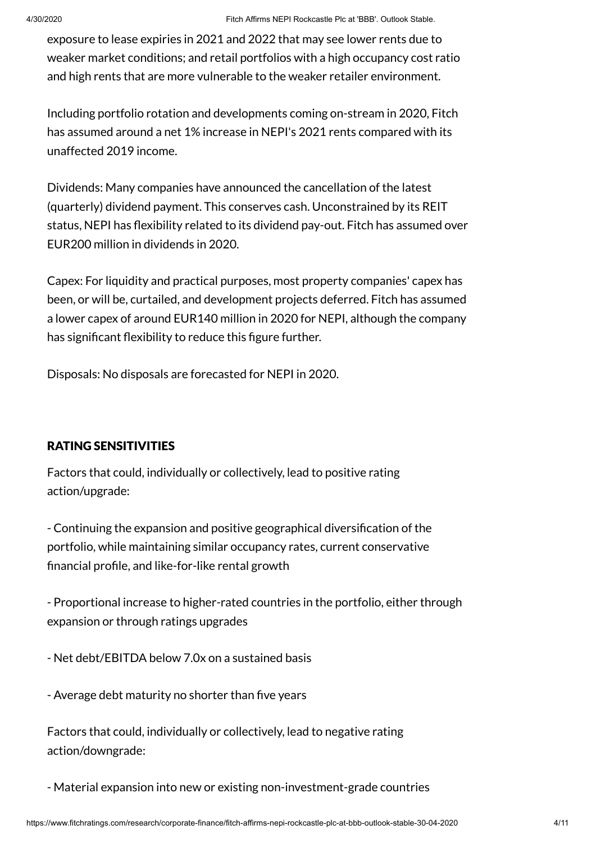exposure to lease expiries in 2021 and 2022 that may see lower rents due to weaker market conditions; and retail portfolios with a high occupancy cost ratio and high rents that are more vulnerable to the weaker retailer environment.

Including portfolio rotation and developments coming on-stream in 2020, Fitch has assumed around a net 1% increase in NEPI's 2021 rents compared with its unaffected 2019 income.

Dividends: Many companies have announced the cancellation of the latest (quarterly) dividend payment. This conserves cash. Unconstrained by its REIT status, NEPI has flexibility related to its dividend pay-out. Fitch has assumed over EUR200 million in dividends in 2020.

Capex: For liquidity and practical purposes, most property companies' capex has been, or will be, curtailed, and development projects deferred. Fitch has assumed a lower capex of around EUR140 million in 2020 for NEPI, although the company has significant flexibility to reduce this figure further.

Disposals: No disposals are forecasted for NEPI in 2020.

### RATING SENSITIVITIES

Factors that could, individually or collectively, lead to positive rating action/upgrade:

- Continuing the expansion and positive geographical diversification of the portfolio, while maintaining similar occupancy rates, current conservative financial profile, and like-for-like rental growth

- Proportional increase to higher-rated countries in the portfolio, either through expansion or through ratings upgrades

- Net debt/EBITDA below 7.0x on a sustained basis

- Average debt maturity no shorter than five years

Factors that could, individually or collectively, lead to negative rating action/downgrade:

- Material expansion into new or existing non-investment-grade countries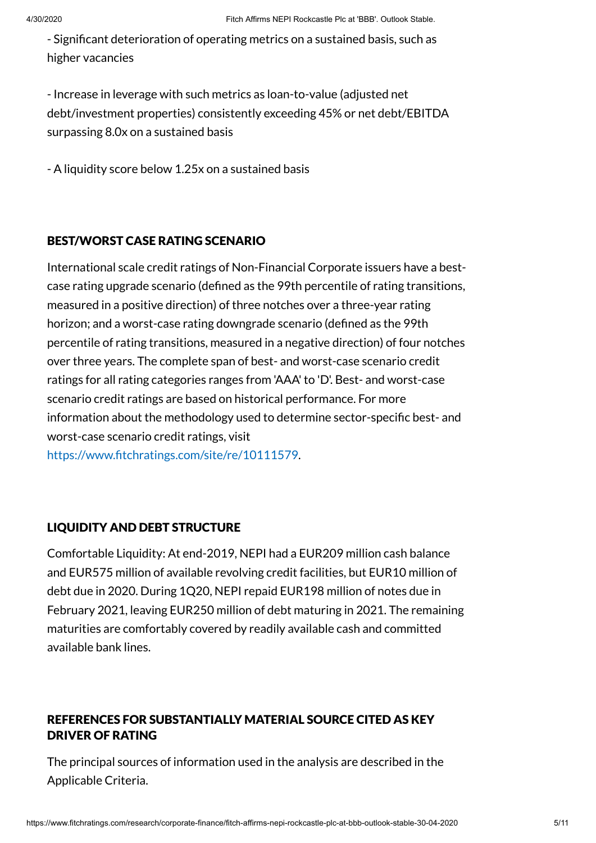- Significant deterioration of operating metrics on a sustained basis, such as higher vacancies

- Increase in leverage with such metrics as loan-to-value (adjusted net debt/investment properties) consistently exceeding 45% or net debt/EBITDA surpassing 8.0x on a sustained basis

- A liquidity score below 1.25x on a sustained basis

# BEST/WORST CASE RATING SCENARIO

International scale credit ratings of Non-Financial Corporate issuers have a bestcase rating upgrade scenario (defined as the 99th percentile of rating transitions, measured in a positive direction) of three notches over a three-year rating horizon; and a worst-case rating downgrade scenario (defined as the 99th percentile of rating transitions, measured in a negative direction) of four notches over three years. The complete span of best- and worst-case scenario credit ratings for all rating categories ranges from 'AAA' to 'D'. Best- and worst-case scenario credit ratings are based on historical performance. For more information about the methodology used to determine sector-specific best- and worst-case scenario credit ratings, visit <https://www.fitchratings.com/site/re/10111579>.

# LIQUIDITY AND DEBT STRUCTURE

Comfortable Liquidity: At end-2019, NEPI had a EUR209 million cash balance and EUR575 million of available revolving credit facilities, but EUR10 million of debt due in 2020. During 1Q20, NEPI repaid EUR198 million of notes due in February 2021, leaving EUR250 million of debt maturing in 2021. The remaining maturities are comfortably covered by readily available cash and committed available bank lines.

# REFERENCES FOR SUBSTANTIALLY MATERIAL SOURCE CITED AS KEY DRIVER OF RATING

The principal sources of information used in the analysis are described in the Applicable Criteria.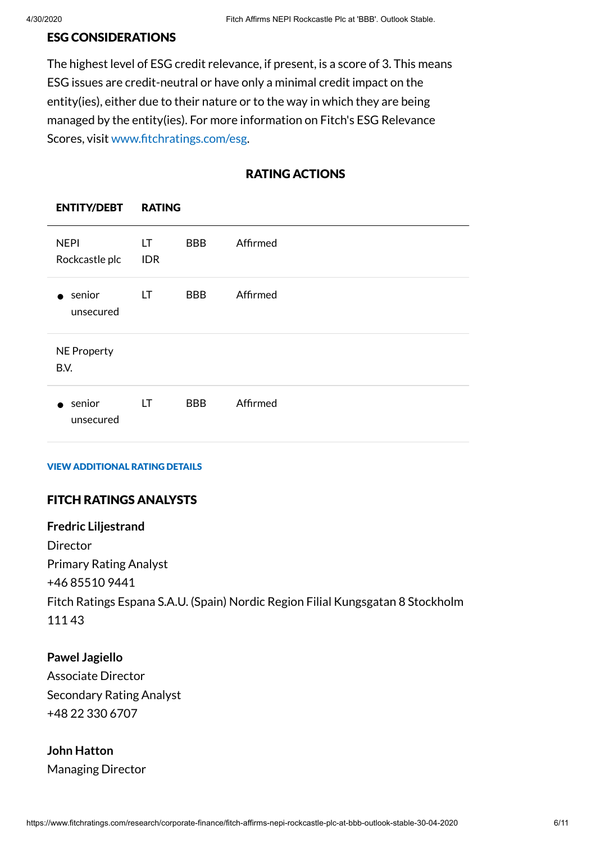#### ESG CONSIDERATIONS

ENTITY/DEBT RATING

The highest level of ESG credit relevance, if present, is a score of 3. This means ESG issues are credit-neutral or have only a minimal credit impact on the entity(ies), either due to their nature or to the way in which they are being managed by the entity(ies). For more information on Fitch's ESG Relevance Scores, visit [www.fitchratings.com/esg.](http://www.fitchratings.com/esg)

# RATING ACTIONS

| <b>NEPI</b><br>Rockcastle plc | LT.<br><b>IDR</b> | <b>BBB</b> | Affirmed |
|-------------------------------|-------------------|------------|----------|
| senior<br>unsecured           | LT                | <b>BBB</b> | Affirmed |
| <b>NE Property</b><br>B.V.    |                   |            |          |
| senior<br>unsecured           | LT.               | <b>BBB</b> | Affirmed |

#### VIEW ADDITIONAL RATING DETAILS

# FITCH RATINGS ANALYSTS

**Fredric Liljestrand** Director Primary Rating Analyst +46 85510 9441 Fitch Ratings Espana S.A.U. (Spain) Nordic Region Filial Kungsgatan 8 Stockholm 111 43

#### **Pawel Jagiello**

Associate Director Secondary Rating Analyst +48 22 330 6707

# **John Hatton** Managing Director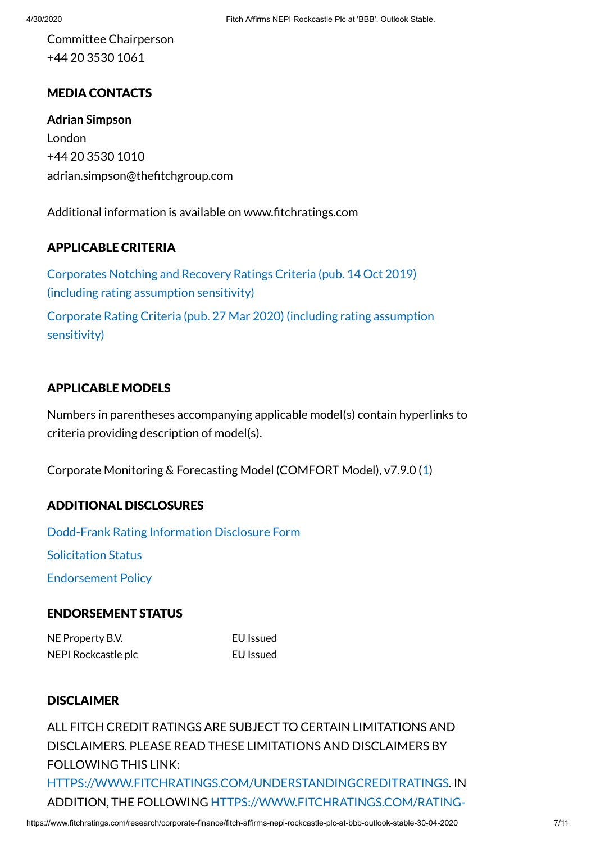Committee Chairperson +44 20 3530 1061

# MEDIA CONTACTS

**Adrian Simpson** London +44 20 3530 1010 adrian.simpson@thefitchgroup.com

Additional information is available on www.fitchratings.com

# APPLICABLE CRITERIA

Corporates Notching and Recovery [Ratings Criteria](https://www.fitchratings.com/research/corporate-finance/corporates-notching-recovery-ratings-criteria-14-10-2019) (pub. 14 Oct 2019) (including rating assumption sensitivity) Corporate Rating Criteria (pub. 27 Mar 2020) (including rating [assumption](https://www.fitchratings.com/research/corporate-finance/corporate-rating-criteria-27-03-2020) sensitivity)

# APPLICABLE MODELS

Numbers in parentheses accompanying applicable model(s) contain hyperlinks to criteria providing description of model(s).

Corporate Monitoring & Forecasting Model (COMFORT Model), v7.9.0 ([1\)](https://www.fitchratings.com/site/re/968880)

# ADDITIONAL DISCLOSURES

[Dodd-Frank](https://www.fitchratings.com/research/corporate-finance/fitch-affirms-nepi-rockcastle-plc-at-bbb-outlook-stable-30-04-2020/dodd-frank-disclosure) Rating Information Disclosure Form [Solicitation](#page-9-0) Status [Endorsement](https://www.fitchratings.com/regulatory) Policy

# ENDORSEMENT STATUS

NE Property B.V. EU Issued NEPI Rockcastle plc **EU** Issued

# DISCLAIMER

ALL FITCH CREDIT RATINGS ARE SUBJECT TO CERTAIN LIMITATIONS AND DISCLAIMERS. PLEASE READ THESE LIMITATIONS AND DISCLAIMERS BY FOLLOWING THIS LINK: [HTTPS://WWW.FITCHRATINGS.COM/UNDERSTANDINGCREDITRATINGS](https://www.fitchratings.com/UNDERSTANDINGCREDITRATINGS). IN ADDITION, THE FOLLOWING [HTTPS://WWW.FITCHRATINGS.COM/RATING-](https://www.fitchratings.com/rating-definitions-document)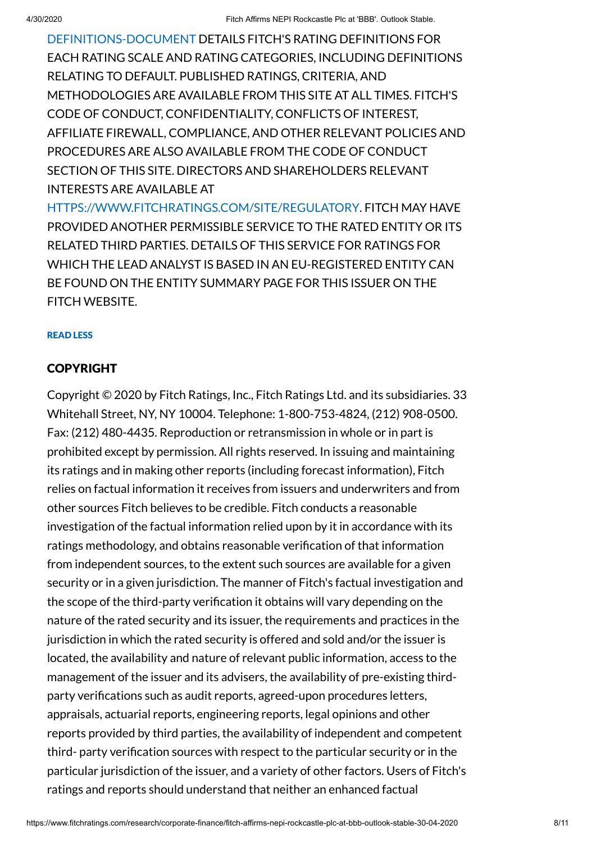[DEFINITIONS-DOCUMENT](https://www.fitchratings.com/rating-definitions-document) DETAILS FITCH'S RATING DEFINITIONS FOR EACH RATING SCALE AND RATING CATEGORIES, INCLUDING DEFINITIONS RELATING TO DEFAULT. PUBLISHED RATINGS, CRITERIA, AND METHODOLOGIES ARE AVAILABLE FROM THIS SITE AT ALL TIMES. FITCH'S CODE OF CONDUCT, CONFIDENTIALITY, CONFLICTS OF INTEREST, AFFILIATE FIREWALL, COMPLIANCE, AND OTHER RELEVANT POLICIES AND PROCEDURES ARE ALSO AVAILABLE FROM THE CODE OF CONDUCT SECTION OF THIS SITE. DIRECTORS AND SHAREHOLDERS RELEVANT INTERESTS ARE AVAILABLE AT

[HTTPS://WWW.FITCHRATINGS.COM/SITE/REGULATORY](https://www.fitchratings.com/site/regulatory). FITCH MAY HAVE PROVIDED ANOTHER PERMISSIBLE SERVICE TO THE RATED ENTITY OR ITS RELATED THIRD PARTIES. DETAILS OF THIS SERVICE FOR RATINGS FOR WHICH THE LEAD ANALYST IS BASED IN AN EU-REGISTERED ENTITY CAN BE FOUND ON THE ENTITY SUMMARY PAGE FOR THIS ISSUER ON THE FITCH WEBSITE.

#### READ LESS

#### COPYRIGHT

Copyright © 2020 by Fitch Ratings, Inc., Fitch Ratings Ltd. and its subsidiaries. 33 Whitehall Street, NY, NY 10004. Telephone: 1-800-753-4824, (212) 908-0500. Fax: (212) 480-4435. Reproduction or retransmission in whole or in part is prohibited except by permission. All rights reserved. In issuing and maintaining its ratings and in making other reports (including forecast information), Fitch relies on factual information it receives from issuers and underwriters and from other sources Fitch believes to be credible. Fitch conducts a reasonable investigation of the factual information relied upon by it in accordance with its ratings methodology, and obtains reasonable verification of that information from independent sources, to the extent such sources are available for a given security or in a given jurisdiction. The manner of Fitch's factual investigation and the scope of the third-party verification it obtains will vary depending on the nature of the rated security and its issuer, the requirements and practices in the jurisdiction in which the rated security is offered and sold and/or the issuer is located, the availability and nature of relevant public information, access to the management of the issuer and its advisers, the availability of pre-existing thirdparty verifications such as audit reports, agreed-upon procedures letters, appraisals, actuarial reports, engineering reports, legal opinions and other reports provided by third parties, the availability of independent and competent third- party verification sources with respect to the particular security or in the particular jurisdiction of the issuer, and a variety of other factors. Users of Fitch's ratings and reports should understand that neither an enhanced factual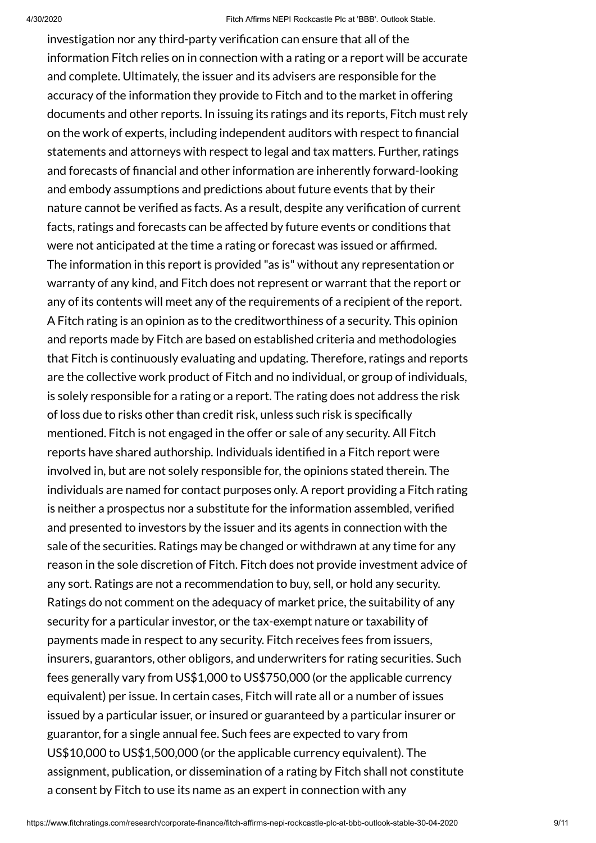investigation nor any third-party verification can ensure that all of the information Fitch relies on in connection with a rating or a report will be accurate and complete. Ultimately, the issuer and its advisers are responsible for the accuracy of the information they provide to Fitch and to the market in offering documents and other reports. In issuing its ratings and its reports, Fitch must rely on the work of experts, including independent auditors with respect to financial statements and attorneys with respect to legal and tax matters. Further, ratings and forecasts of financial and other information are inherently forward-looking and embody assumptions and predictions about future events that by their nature cannot be verified as facts. As a result, despite any verification of current facts, ratings and forecasts can be affected by future events or conditions that were not anticipated at the time a rating or forecast was issued or affirmed. The information in this report is provided "as is" without any representation or warranty of any kind, and Fitch does not represent or warrant that the report or any of its contents will meet any of the requirements of a recipient of the report. A Fitch rating is an opinion as to the creditworthiness of a security. This opinion and reports made by Fitch are based on established criteria and methodologies that Fitch is continuously evaluating and updating. Therefore, ratings and reports are the collective work product of Fitch and no individual, or group of individuals, is solely responsible for a rating or a report. The rating does not address the risk of loss due to risks other than credit risk, unless such risk is specifically mentioned. Fitch is not engaged in the offer or sale of any security. All Fitch reports have shared authorship. Individuals identified in a Fitch report were involved in, but are not solely responsible for, the opinions stated therein. The individuals are named for contact purposes only. A report providing a Fitch rating is neither a prospectus nor a substitute for the information assembled, verified and presented to investors by the issuer and its agents in connection with the sale of the securities. Ratings may be changed or withdrawn at any time for any reason in the sole discretion of Fitch. Fitch does not provide investment advice of any sort. Ratings are not a recommendation to buy, sell, or hold any security. Ratings do not comment on the adequacy of market price, the suitability of any security for a particular investor, or the tax-exempt nature or taxability of payments made in respect to any security. Fitch receives fees from issuers, insurers, guarantors, other obligors, and underwriters for rating securities. Such fees generally vary from US\$1,000 to US\$750,000 (or the applicable currency equivalent) per issue. In certain cases, Fitch will rate all or a number of issues issued by a particular issuer, or insured or guaranteed by a particular insurer or guarantor, for a single annual fee. Such fees are expected to vary from US\$10,000 to US\$1,500,000 (or the applicable currency equivalent). The assignment, publication, or dissemination of a rating by Fitch shall not constitute a consent by Fitch to use its name as an expert in connection with any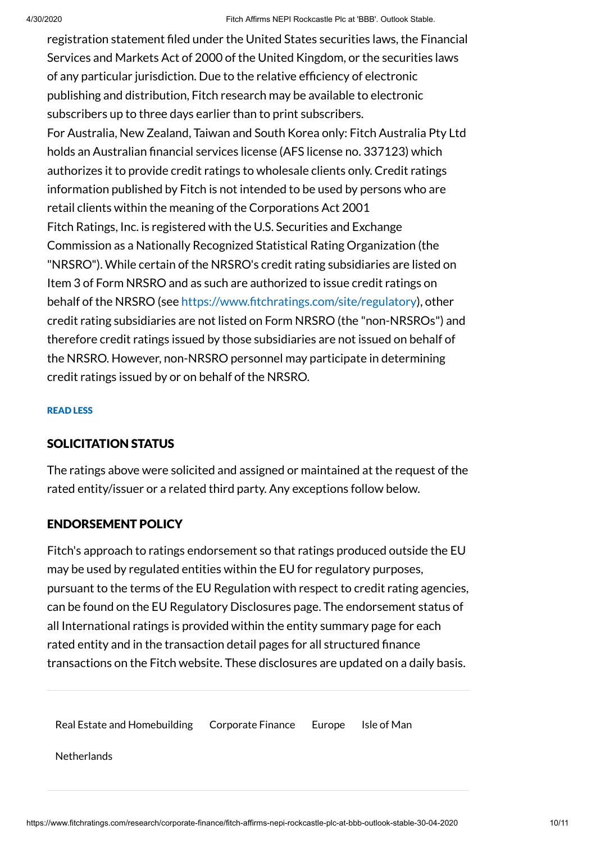4/30/2020 Fitch Affirms NEPI Rockcastle Plc at 'BBB'. Outlook Stable. registration statement filed under the United States securities laws, the Financial Services and Markets Act of 2000 of the United Kingdom, or the securities laws of any particular jurisdiction. Due to the relative efficiency of electronic publishing and distribution, Fitch research may be available to electronic subscribers up to three days earlier than to print subscribers. For Australia, New Zealand, Taiwan and South Korea only: Fitch Australia Pty Ltd holds an Australian financial services license (AFS license no. 337123) which authorizes it to provide credit ratings to wholesale clients only. Credit ratings information published by Fitch is not intended to be used by persons who are retail clients within the meaning of the Corporations Act 2001 Fitch Ratings, Inc. is registered with the U.S. Securities and Exchange Commission as a Nationally Recognized Statistical Rating Organization (the "NRSRO"). While certain of the NRSRO's credit rating subsidiaries are listed on Item 3 of Form NRSRO and as such are authorized to issue credit ratings on behalf of the NRSRO (see <https://www.fitchratings.com/site/regulatory>), other credit rating subsidiaries are not listed on Form NRSRO (the "non-NRSROs") and therefore credit ratings issued by those subsidiaries are not issued on behalf of the NRSRO. However, non-NRSRO personnel may participate in determining

#### READ LESS

#### <span id="page-9-0"></span>SOLICITATION STATUS

credit ratings issued by or on behalf of the NRSRO.

The ratings above were solicited and assigned or maintained at the request of the rated entity/issuer or a related third party. Any exceptions follow below.

#### ENDORSEMENT POLICY

Fitch's approach to ratings endorsement so that ratings produced outside the EU may be used by regulated entities within the EU for regulatory purposes, pursuant to the terms of the EU Regulation with respect to credit rating agencies, can be found on the EU Regulatory [Disclosures](https://www.fitchratings.com/regulatory) page. The endorsement status of all International ratings is provided within the entity summary page for each rated entity and in the transaction detail pages for all structured finance transactions on the Fitch website. These disclosures are updated on a daily basis.

Real Estate and [Homebuilding](https://www.fitchratings.com/real-estate-homebuilding) [Corporate](https://www.fitchratings.com/corporate-finance) Finance [Europe](https://www.fitchratings.com/region/europe) Isle of [Man](https://www.fitchratings.com/region/isle-of-man)

**[Netherlands](https://www.fitchratings.com/region/netherlands)**